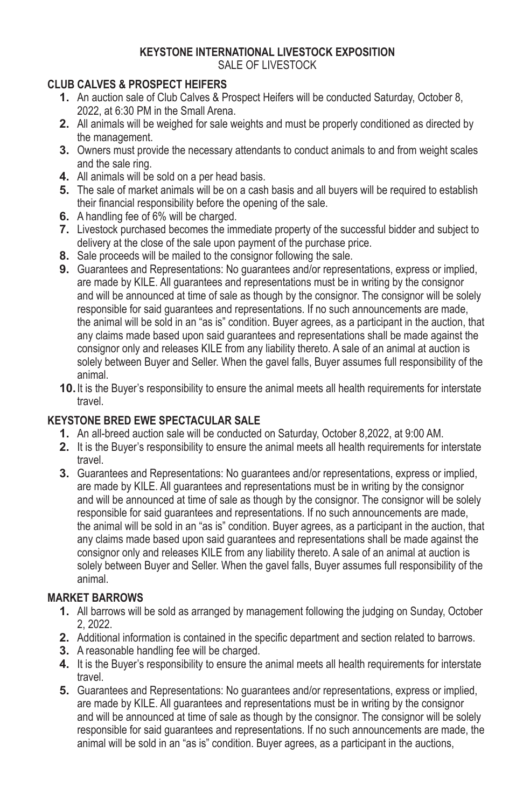#### **KEYSTONE INTERNATIONAL LIVESTOCK EXPOSITION** SALE OF LIVESTOCK

# **CLUB CALVES & PROSPECT HEIFERS**

- **1.** An auction sale of Club Calves & Prospect Heifers will be conducted Saturday, October 8, 2022, at 6:30 PM in the Small Arena.
- **2.** All animals will be weighed for sale weights and must be properly conditioned as directed by the management.
- **3.** Owners must provide the necessary attendants to conduct animals to and from weight scales and the sale ring.
- **4.** All animals will be sold on a per head basis.
- **5.** The sale of market animals will be on a cash basis and all buyers will be required to establish their financial responsibility before the opening of the sale.
- **6.** A handling fee of 6% will be charged.
- **7.** Livestock purchased becomes the immediate property of the successful bidder and subject to delivery at the close of the sale upon payment of the purchase price.
- **8.** Sale proceeds will be mailed to the consignor following the sale.
- **9.** Guarantees and Representations: No guarantees and/or representations, express or implied, are made by KILE. All guarantees and representations must be in writing by the consignor and will be announced at time of sale as though by the consignor. The consignor will be solely responsible for said guarantees and representations. If no such announcements are made, the animal will be sold in an "as is" condition. Buyer agrees, as a participant in the auction, that any claims made based upon said guarantees and representations shall be made against the consignor only and releases KILE from any liability thereto. A sale of an animal at auction is solely between Buyer and Seller. When the gavel falls, Buyer assumes full responsibility of the animal.
- **10.**It is the Buyer's responsibility to ensure the animal meets all health requirements for interstate travel.

# **KEYSTONE BRED EWE SPECTACULAR SALE**

- **1.** An all-breed auction sale will be conducted on Saturday, October 8,2022, at 9:00 AM.
- **2.** It is the Buyer's responsibility to ensure the animal meets all health requirements for interstate travel.
- **3.** Guarantees and Representations: No guarantees and/or representations, express or implied, are made by KILE. All guarantees and representations must be in writing by the consignor and will be announced at time of sale as though by the consignor. The consignor will be solely responsible for said guarantees and representations. If no such announcements are made, the animal will be sold in an "as is" condition. Buyer agrees, as a participant in the auction, that any claims made based upon said guarantees and representations shall be made against the consignor only and releases KILE from any liability thereto. A sale of an animal at auction is solely between Buyer and Seller. When the gavel falls, Buyer assumes full responsibility of the animal.

# **MARKET BARROWS**

- **1.** All barrows will be sold as arranged by management following the judging on Sunday, October 2, 2022.
- **2.** Additional information is contained in the specific department and section related to barrows.
- **3.** A reasonable handling fee will be charged.
- **4.** It is the Buyer's responsibility to ensure the animal meets all health requirements for interstate travel.
- **5.** Guarantees and Representations: No guarantees and/or representations, express or implied, are made by KILE. All guarantees and representations must be in writing by the consignor and will be announced at time of sale as though by the consignor. The consignor will be solely responsible for said guarantees and representations. If no such announcements are made, the animal will be sold in an "as is" condition. Buyer agrees, as a participant in the auctions,